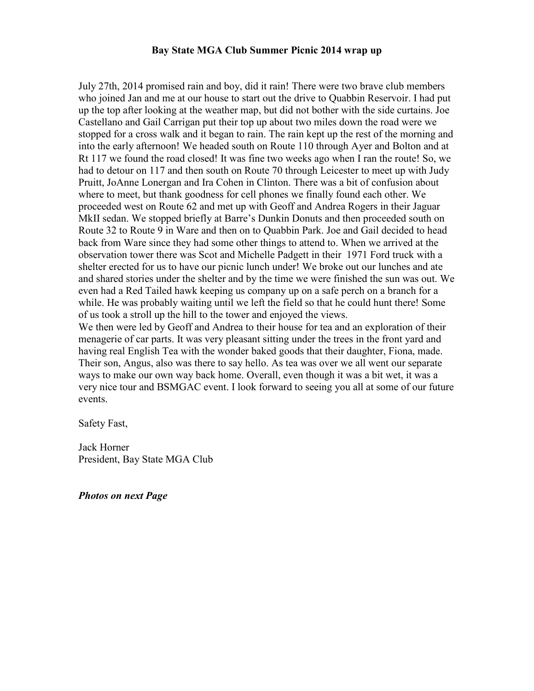## **Bay State MGA Club Summer Picnic 2014 wrap up**

July 27th, 2014 promised rain and boy, did it rain! There were two brave club members who joined Jan and me at our house to start out the drive to Quabbin Reservoir. I had put up the top after looking at the weather map, but did not bother with the side curtains. Joe Castellano and Gail Carrigan put their top up about two miles down the road were we stopped for a cross walk and it began to rain. The rain kept up the rest of the morning and into the early afternoon! We headed south on Route 110 through Ayer and Bolton and at Rt 117 we found the road closed! It was fine two weeks ago when I ran the route! So, we had to detour on 117 and then south on Route 70 through Leicester to meet up with Judy Pruitt, JoAnne Lonergan and Ira Cohen in Clinton. There was a bit of confusion about where to meet, but thank goodness for cell phones we finally found each other. We proceeded west on Route 62 and met up with Geoff and Andrea Rogers in their Jaguar MkII sedan. We stopped briefly at Barre's Dunkin Donuts and then proceeded south on Route 32 to Route 9 in Ware and then on to Quabbin Park. Joe and Gail decided to head back from Ware since they had some other things to attend to. When we arrived at the observation tower there was Scot and Michelle Padgett in their 1971 Ford truck with a shelter erected for us to have our picnic lunch under! We broke out our lunches and ate and shared stories under the shelter and by the time we were finished the sun was out. We even had a Red Tailed hawk keeping us company up on a safe perch on a branch for a while. He was probably waiting until we left the field so that he could hunt there! Some of us took a stroll up the hill to the tower and enjoyed the views.

We then were led by Geoff and Andrea to their house for tea and an exploration of their menagerie of car parts. It was very pleasant sitting under the trees in the front yard and having real English Tea with the wonder baked goods that their daughter, Fiona, made. Their son, Angus, also was there to say hello. As tea was over we all went our separate ways to make our own way back home. Overall, even though it was a bit wet, it was a very nice tour and BSMGAC event. I look forward to seeing you all at some of our future events.

Safety Fast,

Jack Horner President, Bay State MGA Club

*Photos on next Page*